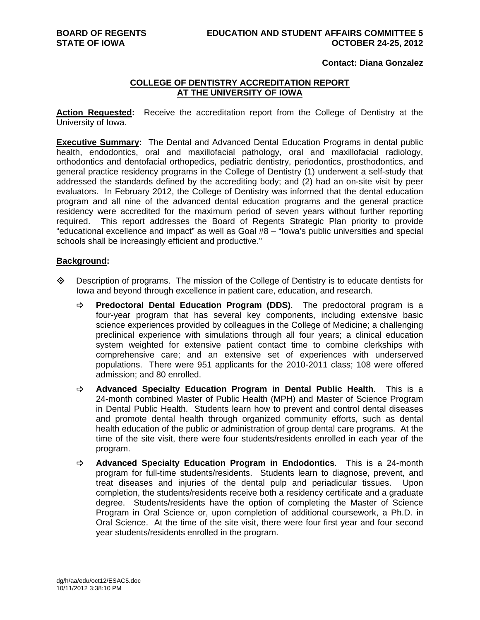#### **BOARD OF REGENTS EDUCATION AND STUDENT AFFAIRS COMMITTEE 5 STATE OF IOWA OCTOBER 24-25, 2012**

## **Contact: Diana Gonzalez**

## **COLLEGE OF DENTISTRY ACCREDITATION REPORT AT THE UNIVERSITY OF IOWA**

**Action Requested:** Receive the accreditation report from the College of Dentistry at the University of Iowa.

**Executive Summary:** The Dental and Advanced Dental Education Programs in dental public health, endodontics, oral and maxillofacial pathology, oral and maxillofacial radiology, orthodontics and dentofacial orthopedics, pediatric dentistry, periodontics, prosthodontics, and general practice residency programs in the College of Dentistry (1) underwent a self-study that addressed the standards defined by the accrediting body; and (2) had an on-site visit by peer evaluators. In February 2012, the College of Dentistry was informed that the dental education program and all nine of the advanced dental education programs and the general practice residency were accredited for the maximum period of seven years without further reporting required. This report addresses the Board of Regents Strategic Plan priority to provide "educational excellence and impact" as well as Goal #8 – "Iowa's public universities and special schools shall be increasingly efficient and productive."

#### **Background:**

- Description of programs. The mission of the College of Dentistry is to educate dentists for Iowa and beyond through excellence in patient care, education, and research.
	- **Predoctoral Dental Education Program (DDS)**. The predoctoral program is a four-year program that has several key components, including extensive basic science experiences provided by colleagues in the College of Medicine; a challenging preclinical experience with simulations through all four years; a clinical education system weighted for extensive patient contact time to combine clerkships with comprehensive care; and an extensive set of experiences with underserved populations. There were 951 applicants for the 2010-2011 class; 108 were offered admission; and 80 enrolled.
	- **Advanced Specialty Education Program in Dental Public Health**. This is a 24-month combined Master of Public Health (MPH) and Master of Science Program in Dental Public Health. Students learn how to prevent and control dental diseases and promote dental health through organized community efforts, such as dental health education of the public or administration of group dental care programs. At the time of the site visit, there were four students/residents enrolled in each year of the program.
	- **Advanced Specialty Education Program in Endodontics**. This is a 24-month program for full-time students/residents. Students learn to diagnose, prevent, and treat diseases and injuries of the dental pulp and periadicular tissues. Upon completion, the students/residents receive both a residency certificate and a graduate degree. Students/residents have the option of completing the Master of Science Program in Oral Science or, upon completion of additional coursework, a Ph.D. in Oral Science. At the time of the site visit, there were four first year and four second year students/residents enrolled in the program.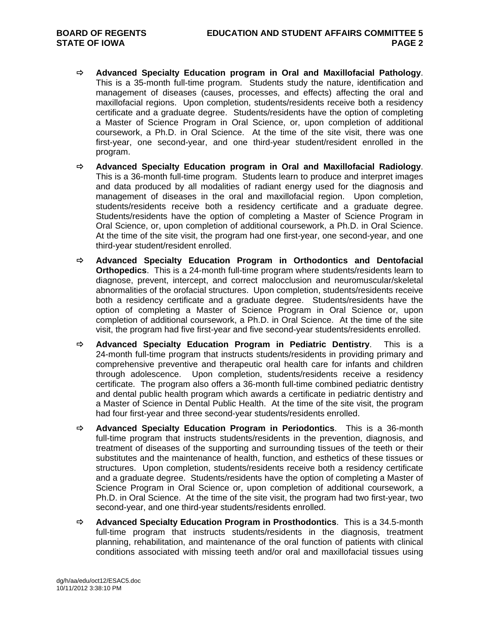- **Advanced Specialty Education program in Oral and Maxillofacial Pathology**. This is a 35-month full-time program. Students study the nature, identification and management of diseases (causes, processes, and effects) affecting the oral and maxillofacial regions. Upon completion, students/residents receive both a residency certificate and a graduate degree. Students/residents have the option of completing a Master of Science Program in Oral Science, or, upon completion of additional coursework, a Ph.D. in Oral Science. At the time of the site visit, there was one first-year, one second-year, and one third-year student/resident enrolled in the program.
- **Advanced Specialty Education program in Oral and Maxillofacial Radiology**. This is a 36-month full-time program. Students learn to produce and interpret images and data produced by all modalities of radiant energy used for the diagnosis and management of diseases in the oral and maxillofacial region. Upon completion, students/residents receive both a residency certificate and a graduate degree. Students/residents have the option of completing a Master of Science Program in Oral Science, or, upon completion of additional coursework, a Ph.D. in Oral Science. At the time of the site visit, the program had one first-year, one second-year, and one third-year student/resident enrolled.
- **Advanced Specialty Education Program in Orthodontics and Dentofacial Orthopedics**. This is a 24-month full-time program where students/residents learn to diagnose, prevent, intercept, and correct malocclusion and neuromuscular/skeletal abnormalities of the orofacial structures. Upon completion, students/residents receive both a residency certificate and a graduate degree. Students/residents have the option of completing a Master of Science Program in Oral Science or, upon completion of additional coursework, a Ph.D. in Oral Science. At the time of the site visit, the program had five first-year and five second-year students/residents enrolled.
- **Advanced Specialty Education Program in Pediatric Dentistry**. This is a 24-month full-time program that instructs students/residents in providing primary and comprehensive preventive and therapeutic oral health care for infants and children through adolescence. Upon completion, students/residents receive a residency certificate. The program also offers a 36-month full-time combined pediatric dentistry and dental public health program which awards a certificate in pediatric dentistry and a Master of Science in Dental Public Health. At the time of the site visit, the program had four first-year and three second-year students/residents enrolled.
- **Advanced Specialty Education Program in Periodontics**. This is a 36-month full-time program that instructs students/residents in the prevention, diagnosis, and treatment of diseases of the supporting and surrounding tissues of the teeth or their substitutes and the maintenance of health, function, and esthetics of these tissues or structures. Upon completion, students/residents receive both a residency certificate and a graduate degree. Students/residents have the option of completing a Master of Science Program in Oral Science or, upon completion of additional coursework, a Ph.D. in Oral Science. At the time of the site visit, the program had two first-year, two second-year, and one third-year students/residents enrolled.
- **Advanced Specialty Education Program in Prosthodontics**. This is a 34.5-month full-time program that instructs students/residents in the diagnosis, treatment planning, rehabilitation, and maintenance of the oral function of patients with clinical conditions associated with missing teeth and/or oral and maxillofacial tissues using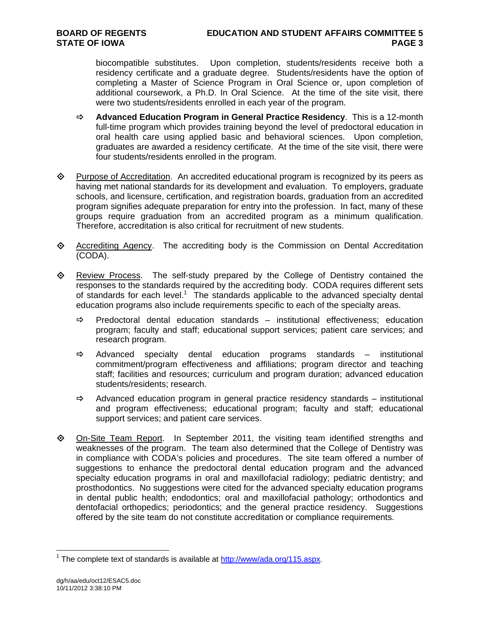biocompatible substitutes. Upon completion, students/residents receive both a residency certificate and a graduate degree. Students/residents have the option of completing a Master of Science Program in Oral Science or, upon completion of additional coursework, a Ph.D. In Oral Science. At the time of the site visit, there were two students/residents enrolled in each year of the program.

- **Advanced Education Program in General Practice Residency**. This is a 12-month full-time program which provides training beyond the level of predoctoral education in oral health care using applied basic and behavioral sciences. Upon completion, graduates are awarded a residency certificate. At the time of the site visit, there were four students/residents enrolled in the program.
- Purpose of Accreditation. An accredited educational program is recognized by its peers as having met national standards for its development and evaluation. To employers, graduate schools, and licensure, certification, and registration boards, graduation from an accredited program signifies adequate preparation for entry into the profession. In fact, many of these groups require graduation from an accredited program as a minimum qualification. Therefore, accreditation is also critical for recruitment of new students.
- $\diamond$  Accrediting Agency. The accrediting body is the Commission on Dental Accreditation (CODA).
- **Example 2** Review Process. The self-study prepared by the College of Dentistry contained the responses to the standards required by the accrediting body. CODA requires different sets of standards for each level.<sup>1</sup> The standards applicable to the advanced specialty dental education programs also include requirements specific to each of the specialty areas.
	- $\Rightarrow$  Predoctoral dental education standards institutional effectiveness; education program; faculty and staff; educational support services; patient care services; and research program.
	- $\Rightarrow$  Advanced specialty dental education programs standards institutional commitment/program effectiveness and affiliations; program director and teaching staff; facilities and resources; curriculum and program duration; advanced education students/residents; research.
	- $\Rightarrow$  Advanced education program in general practice residency standards institutional and program effectiveness; educational program; faculty and staff; educational support services; and patient care services.
- $\Diamond$  On-Site Team Report. In September 2011, the visiting team identified strengths and weaknesses of the program. The team also determined that the College of Dentistry was in compliance with CODA's policies and procedures. The site team offered a number of suggestions to enhance the predoctoral dental education program and the advanced specialty education programs in oral and maxillofacial radiology; pediatric dentistry; and prosthodontics. No suggestions were cited for the advanced specialty education programs in dental public health; endodontics; oral and maxillofacial pathology; orthodontics and dentofacial orthopedics; periodontics; and the general practice residency. Suggestions offered by the site team do not constitute accreditation or compliance requirements.

 $\overline{a}$ 

<sup>&</sup>lt;sup>1</sup> The complete text of standards is available at  $\frac{http://www/ada.org/115.aspx.}{}$